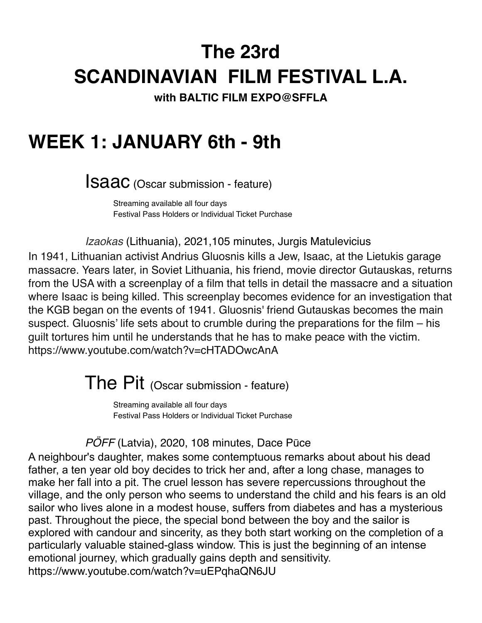# **The 23rd SCANDINAVIAN FILM FESTIVAL L.A.**

**with BALTIC FILM EXPO@SFFLA**

## **WEEK 1: JANUARY 6th - 9th**

**ISAAC** (Oscar submission - feature)

Streaming available all four days **Festival Pass Holders or Individual Ticket Purchase** 

! ! *Izaokas* (Lithuania), 2021,105 minutes, Jurgis Matulevicius

In 1941, Lithuanian activist Andrius Gluosnis kills a Jew, Isaac, at the Lietukis garage massacre. Years later, in Soviet Lithuania, his friend, movie director Gutauskas, returns from the USA with a screenplay of a film that tells in detail the massacre and a situation where Isaac is being killed. This screenplay becomes evidence for an investigation that the KGB began on the events of 1941. Gluosnis' friend Gutauskas becomes the main suspect. Gluosnis' life sets about to crumble during the preparations for the film – his guilt tortures him until he understands that he has to make peace with the victim. https://www.youtube.com/watch?v=cHTADOwcAnA

The Pit (Oscar submission - feature)

Streaming available all four days **Festival Pass Holders or Individual Ticket Purchase** 

PÖFF (Latvia), 2020, 108 minutes, Dace Pūce

A neighbour's daughter, makes some contemptuous remarks about about his dead father, a ten year old boy decides to trick her and, after a long chase, manages to make her fall into a pit. The cruel lesson has severe repercussions throughout the village, and the only person who seems to understand the child and his fears is an old sailor who lives alone in a modest house, suffers from diabetes and has a mysterious past. Throughout the piece, the special bond between the boy and the sailor is explored with candour and sincerity, as they both start working on the completion of a particularly valuable stained-glass window. This is just the beginning of an intense emotional journey, which gradually gains depth and sensitivity. https://www.youtube.com/watch?v=uEPqhaQN6JU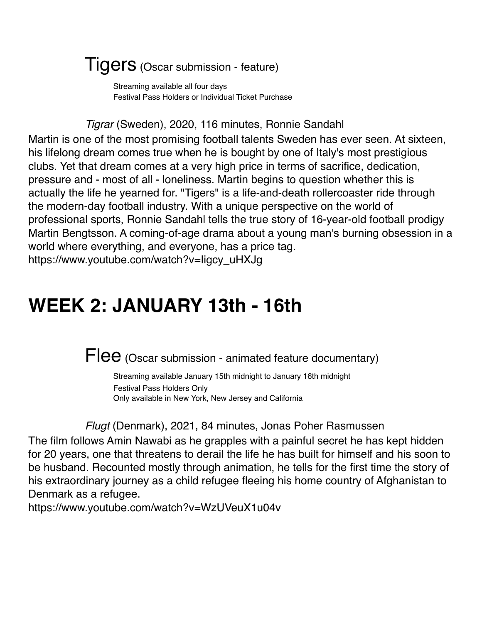#### Tigers (Oscar submission - feature)

Streaming available all four days **Festival Pass Holders or Individual Ticket Purchase** 

! ! *Tigrar* (Sweden), 2020, 116 minutes, Ronnie Sandahl

Martin is one of the most promising football talents Sweden has ever seen. At sixteen, his lifelong dream comes true when he is bought by one of Italy's most prestigious clubs. Yet that dream comes at a very high price in terms of sacrifice, dedication, pressure and - most of all - loneliness. Martin begins to question whether this is actually the life he yearned for. "Tigers" is a life-and-death rollercoaster ride through the modern-day football industry. With a unique perspective on the world of professional sports, Ronnie Sandahl tells the true story of 16-year-old football prodigy Martin Bengtsson. A coming-of-age drama about a young man's burning obsession in a world where everything, and everyone, has a price tag. https://www.youtube.com/watch?v=Iigcy\_uHXJg

## **WEEK 2: JANUARY 13th - 16th**

 $\overline{\text{F}}$  (Oscar submission - animated feature documentary)

Streaming available January 15th midnight to January 16th midnight Festival Pass Holders Only Only available in New York, New Jersey and California

#### ! ! *Flugt* (Denmark), 2021, 84 minutes, Jonas Poher Rasmussen

The film follows Amin Nawabi as he grapples with a painful secret he has kept hidden for 20 years, one that threatens to derail the life he has built for himself and his soon to be husband. Recounted mostly through animation, he tells for the first time the story of his extraordinary journey as a child refugee fleeing his home country of Afghanistan to Denmark as a refugee.

https://www.youtube.com/watch?v=WzUVeuX1u04v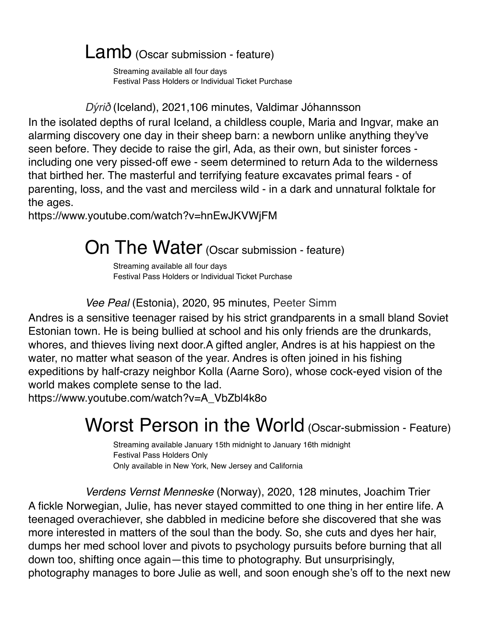### Lamb (Oscar submission - feature)

Streaming available all four days **Festival Pass Holders or Individual Ticket Purchase** 

! ! *Dy*́*ri*ð (Iceland), 2021,106 minutes, Valdimar Jóhannsson

In the isolated depths of rural Iceland, a childless couple, Maria and Ingvar, make an alarming discovery one day in their sheep barn: a newborn unlike anything they've seen before. They decide to raise the girl, Ada, as their own, but sinister forces including one very pissed-off ewe - seem determined to return Ada to the wilderness that birthed her. The masterful and terrifying feature excavates primal fears - of parenting, loss, and the vast and merciless wild - in a dark and unnatural folktale for the ages.

https://www.youtube.com/watch?v=hnEwJKVWjFM

### On The Water (Oscar submission - feature)

Streaming available all four days **Festival Pass Holders or Individual Ticket Purchase** 

! ! *Vee Peal* (Estonia), 2020, 95 minutes, Peeter Simm

Andres is a sensitive teenager raised by his strict grandparents in a small bland Soviet Estonian town. He is being bullied at school and his only friends are the drunkards, whores, and thieves living next door.A gifted angler, Andres is at his happiest on the water, no matter what season of the year. Andres is often joined in his fishing expeditions by half-crazy neighbor Kolla (Aarne Soro), whose cock-eyed vision of the world makes complete sense to the lad.

https://www.youtube.com/watch?v=A\_VbZbl4k8o

## Worst Person in the World (Oscar-submission - Feature)

Streaming available January 15th midnight to January 16th midnight **Festival Pass Holders Only** Only available in New York, New Jersey and California

! ! *Verdens Vernst Menneske* (Norway), 2020, 128 minutes, Joachim Trier A fickle Norwegian, Julie, has never stayed committed to one thing in her entire life. A teenaged overachiever, she dabbled in medicine before she discovered that she was more interested in matters of the soul than the body. So, she cuts and dyes her hair, dumps her med school lover and pivots to psychology pursuits before burning that all down too, shifting once again—this time to photography. But unsurprisingly, photography manages to bore Julie as well, and soon enough she's off to the next new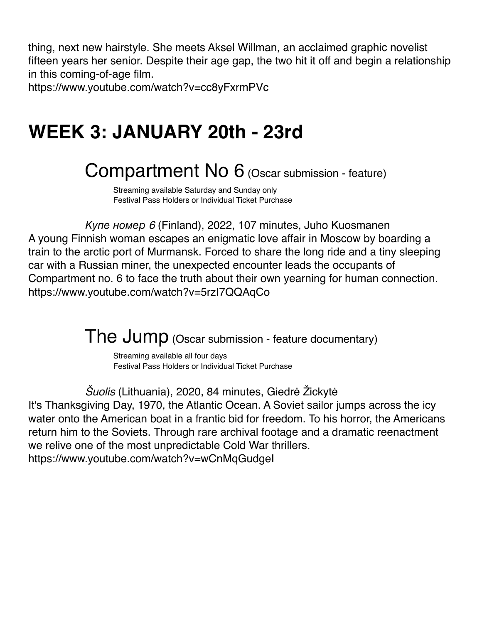thing, next new hairstyle. She meets Aksel Willman, an acclaimed graphic novelist fifteen years her senior. Despite their age gap, the two hit it off and begin a relationship in this coming-of-age film.

https://www.youtube.com/watch?v=cc8yFxrmPVc

## **WEEK 3: JANUARY 20th - 23rd**

## Compartment No 6 (Oscar submission - feature)

Streaming available Saturday and Sunday only **Festival Pass Holders or Individual Ticket Purchase** 

! ! Купе номер *6* (Finland), 2022, 107 minutes, Juho Kuosmanen A young Finnish woman escapes an enigmatic love affair in Moscow by boarding a train to the arctic port of Murmansk. Forced to share the long ride and a tiny sleeping car with a Russian miner, the unexpected encounter leads the occupants of Compartment no. 6 to face the truth about their own yearning for human connection. https://www.youtube.com/watch?v=5rzI7QQAqCo

The Jump (Oscar submission - feature documentary)

Streaming available all four days **Eestival Pass Holders or Individual Ticket Purchase** 

! ! Š*uolis* (Lithuania), 2020, 84 minutes, Giedrė Žickytė It's Thanksgiving Day, 1970, the Atlantic Ocean. A Soviet sailor jumps across the icy water onto the American boat in a frantic bid for freedom. To his horror, the Americans return him to the Soviets. Through rare archival footage and a dramatic reenactment we relive one of the most unpredictable Cold War thrillers. https://www.youtube.com/watch?v=wCnMqGudgeI